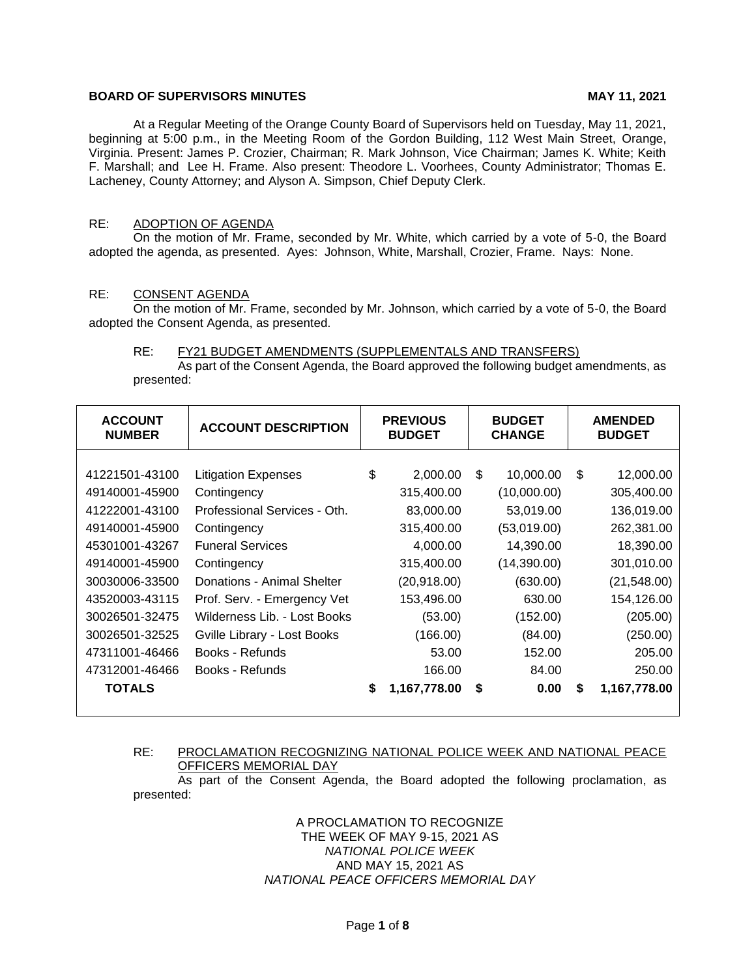# **BOARD OF SUPERVISORS MINUTES** MAY 11, 2021

At a Regular Meeting of the Orange County Board of Supervisors held on Tuesday, May 11, 2021, beginning at 5:00 p.m., in the Meeting Room of the Gordon Building, 112 West Main Street, Orange, Virginia. Present: James P. Crozier, Chairman; R. Mark Johnson, Vice Chairman; James K. White; Keith F. Marshall; and Lee H. Frame. Also present: Theodore L. Voorhees, County Administrator; Thomas E. Lacheney, County Attorney; and Alyson A. Simpson, Chief Deputy Clerk.

# RE: ADOPTION OF AGENDA

On the motion of Mr. Frame, seconded by Mr. White, which carried by a vote of 5-0, the Board adopted the agenda, as presented. Ayes: Johnson, White, Marshall, Crozier, Frame. Nays: None.

#### RE: CONSENT AGENDA

On the motion of Mr. Frame, seconded by Mr. Johnson, which carried by a vote of 5-0, the Board adopted the Consent Agenda, as presented.

#### RE: FY21 BUDGET AMENDMENTS (SUPPLEMENTALS AND TRANSFERS)

As part of the Consent Agenda, the Board approved the following budget amendments, as presented:

| <b>ACCOUNT</b><br><b>NUMBER</b> | <b>ACCOUNT DESCRIPTION</b>   | <b>PREVIOUS</b><br><b>BUDGET</b> |              | <b>BUDGET</b><br><b>CHANGE</b> |             | <b>AMENDED</b><br><b>BUDGET</b> |              |
|---------------------------------|------------------------------|----------------------------------|--------------|--------------------------------|-------------|---------------------------------|--------------|
| 41221501-43100                  | <b>Litigation Expenses</b>   | \$                               | 2,000.00     | \$.                            | 10,000.00   | \$                              | 12,000.00    |
| 49140001-45900                  | Contingency                  |                                  | 315,400.00   |                                | (10,000.00) |                                 | 305,400.00   |
| 41222001-43100                  | Professional Services - Oth. |                                  | 83,000.00    |                                | 53,019.00   |                                 | 136,019.00   |
| 49140001-45900                  | Contingency                  |                                  | 315,400.00   |                                | (53,019.00) |                                 | 262,381.00   |
| 45301001-43267                  | <b>Funeral Services</b>      |                                  | 4,000.00     |                                | 14,390.00   |                                 | 18,390.00    |
| 49140001-45900                  | Contingency                  |                                  | 315,400.00   |                                | (14,390.00) |                                 | 301,010.00   |
| 30030006-33500                  | Donations - Animal Shelter   |                                  | (20, 918.00) |                                | (630.00)    |                                 | (21, 548.00) |
| 43520003-43115                  | Prof. Serv. - Emergency Vet  |                                  | 153,496.00   |                                | 630.00      |                                 | 154,126.00   |
| 30026501-32475                  | Wilderness Lib. - Lost Books |                                  | (53.00)      |                                | (152.00)    |                                 | (205.00)     |
| 30026501-32525                  | Gville Library - Lost Books  |                                  | (166.00)     |                                | (84.00)     |                                 | (250.00)     |
| 47311001-46466                  | Books - Refunds              |                                  | 53.00        |                                | 152.00      |                                 | 205.00       |
| 47312001-46466                  | Books - Refunds              |                                  | 166.00       |                                | 84.00       |                                 | 250.00       |
| <b>TOTALS</b>                   |                              | \$                               | 1,167,778.00 | \$                             | 0.00        | S                               | 1,167,778.00 |

# RE: PROCLAMATION RECOGNIZING NATIONAL POLICE WEEK AND NATIONAL PEACE OFFICERS MEMORIAL DAY

As part of the Consent Agenda, the Board adopted the following proclamation, as presented:

> A PROCLAMATION TO RECOGNIZE THE WEEK OF MAY 9-15, 2021 AS *NATIONAL POLICE WEEK* AND MAY 15, 2021 AS *NATIONAL PEACE OFFICERS MEMORIAL DAY*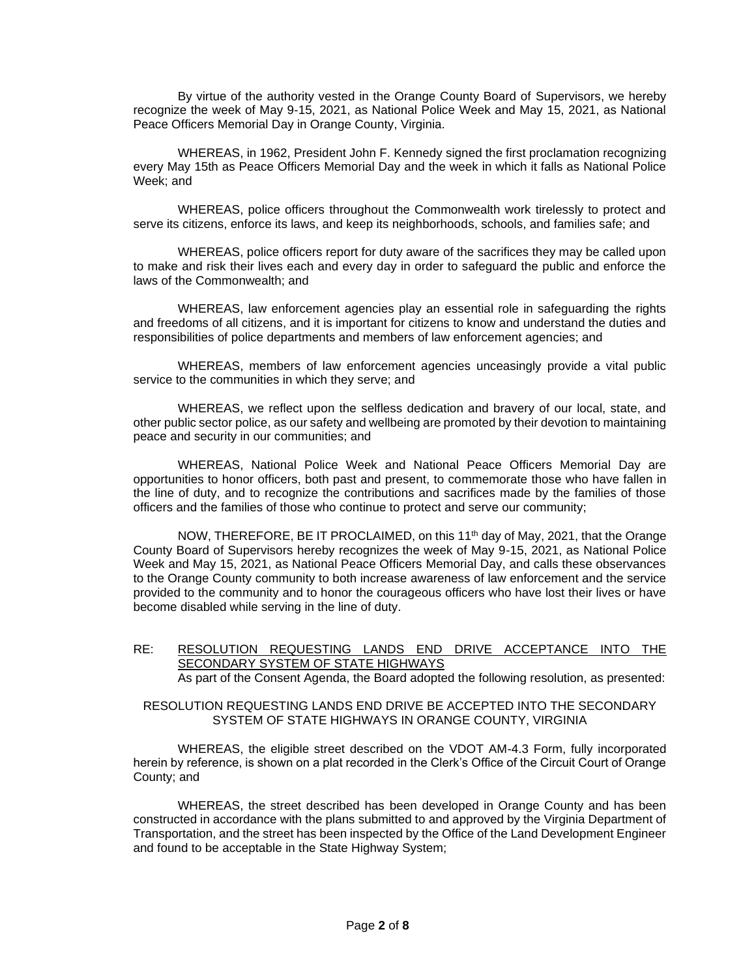By virtue of the authority vested in the Orange County Board of Supervisors, we hereby recognize the week of May 9-15, 2021, as National Police Week and May 15, 2021, as National Peace Officers Memorial Day in Orange County, Virginia.

WHEREAS, in 1962, President John F. Kennedy signed the first proclamation recognizing every May 15th as Peace Officers Memorial Day and the week in which it falls as National Police Week; and

WHEREAS, police officers throughout the Commonwealth work tirelessly to protect and serve its citizens, enforce its laws, and keep its neighborhoods, schools, and families safe; and

WHEREAS, police officers report for duty aware of the sacrifices they may be called upon to make and risk their lives each and every day in order to safeguard the public and enforce the laws of the Commonwealth; and

WHEREAS, law enforcement agencies play an essential role in safeguarding the rights and freedoms of all citizens, and it is important for citizens to know and understand the duties and responsibilities of police departments and members of law enforcement agencies; and

WHEREAS, members of law enforcement agencies unceasingly provide a vital public service to the communities in which they serve; and

WHEREAS, we reflect upon the selfless dedication and bravery of our local, state, and other public sector police, as our safety and wellbeing are promoted by their devotion to maintaining peace and security in our communities; and

WHEREAS, National Police Week and National Peace Officers Memorial Day are opportunities to honor officers, both past and present, to commemorate those who have fallen in the line of duty, and to recognize the contributions and sacrifices made by the families of those officers and the families of those who continue to protect and serve our community;

NOW, THEREFORE, BE IT PROCLAIMED, on this 11<sup>th</sup> day of May, 2021, that the Orange County Board of Supervisors hereby recognizes the week of May 9-15, 2021, as National Police Week and May 15, 2021, as National Peace Officers Memorial Day, and calls these observances to the Orange County community to both increase awareness of law enforcement and the service provided to the community and to honor the courageous officers who have lost their lives or have become disabled while serving in the line of duty.

# RE: RESOLUTION REQUESTING LANDS END DRIVE ACCEPTANCE INTO THE SECONDARY SYSTEM OF STATE HIGHWAYS

As part of the Consent Agenda, the Board adopted the following resolution, as presented:

### RESOLUTION REQUESTING LANDS END DRIVE BE ACCEPTED INTO THE SECONDARY SYSTEM OF STATE HIGHWAYS IN ORANGE COUNTY, VIRGINIA

WHEREAS, the eligible street described on the VDOT AM-4.3 Form, fully incorporated herein by reference, is shown on a plat recorded in the Clerk's Office of the Circuit Court of Orange County; and

WHEREAS, the street described has been developed in Orange County and has been constructed in accordance with the plans submitted to and approved by the Virginia Department of Transportation, and the street has been inspected by the Office of the Land Development Engineer and found to be acceptable in the State Highway System;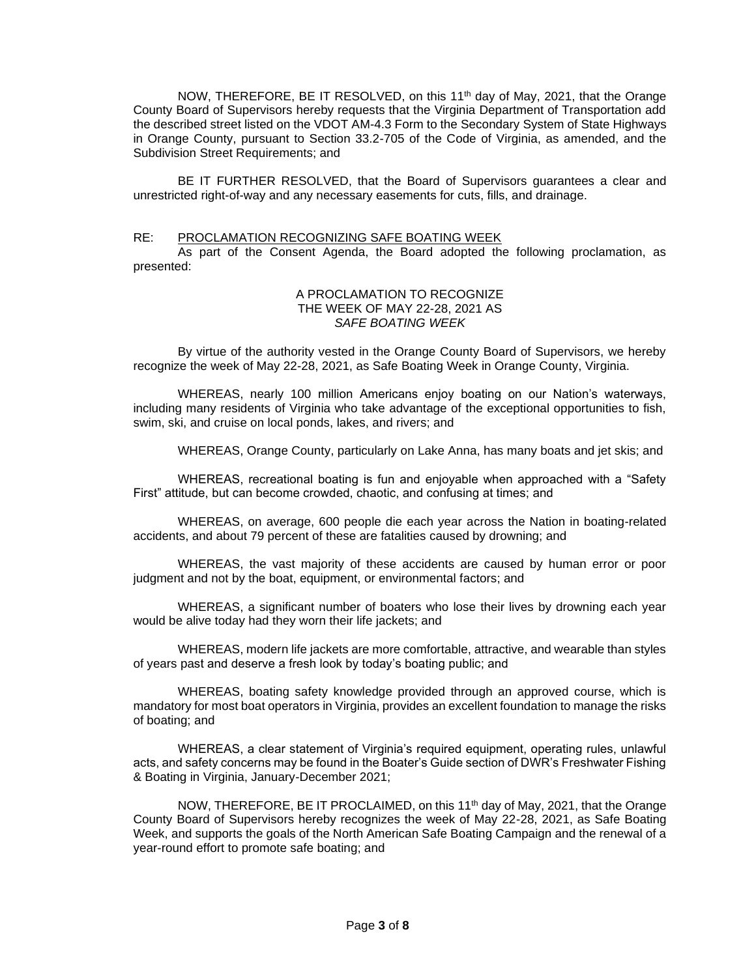NOW, THEREFORE, BE IT RESOLVED, on this 11<sup>th</sup> day of May, 2021, that the Orange County Board of Supervisors hereby requests that the Virginia Department of Transportation add the described street listed on the VDOT AM-4.3 Form to the Secondary System of State Highways in Orange County, pursuant to Section 33.2-705 of the Code of Virginia, as amended, and the Subdivision Street Requirements; and

BE IT FURTHER RESOLVED, that the Board of Supervisors guarantees a clear and unrestricted right-of-way and any necessary easements for cuts, fills, and drainage.

#### RE: PROCLAMATION RECOGNIZING SAFE BOATING WEEK

As part of the Consent Agenda, the Board adopted the following proclamation, as presented:

### A PROCLAMATION TO RECOGNIZE THE WEEK OF MAY 22-28, 2021 AS *SAFE BOATING WEEK*

By virtue of the authority vested in the Orange County Board of Supervisors, we hereby recognize the week of May 22-28, 2021, as Safe Boating Week in Orange County, Virginia.

WHEREAS, nearly 100 million Americans enjoy boating on our Nation's waterways, including many residents of Virginia who take advantage of the exceptional opportunities to fish, swim, ski, and cruise on local ponds, lakes, and rivers; and

WHEREAS, Orange County, particularly on Lake Anna, has many boats and jet skis; and

WHEREAS, recreational boating is fun and enjoyable when approached with a "Safety First" attitude, but can become crowded, chaotic, and confusing at times; and

WHEREAS, on average, 600 people die each year across the Nation in boating-related accidents, and about 79 percent of these are fatalities caused by drowning; and

WHEREAS, the vast majority of these accidents are caused by human error or poor judgment and not by the boat, equipment, or environmental factors; and

WHEREAS, a significant number of boaters who lose their lives by drowning each year would be alive today had they worn their life jackets; and

WHEREAS, modern life jackets are more comfortable, attractive, and wearable than styles of years past and deserve a fresh look by today's boating public; and

WHEREAS, boating safety knowledge provided through an approved course, which is mandatory for most boat operators in Virginia, provides an excellent foundation to manage the risks of boating; and

WHEREAS, a clear statement of Virginia's required equipment, operating rules, unlawful acts, and safety concerns may be found in the Boater's Guide section of DWR's Freshwater Fishing & Boating in Virginia, January-December 2021;

NOW, THEREFORE, BE IT PROCLAIMED, on this 11<sup>th</sup> day of May, 2021, that the Orange County Board of Supervisors hereby recognizes the week of May 22-28, 2021, as Safe Boating Week, and supports the goals of the North American Safe Boating Campaign and the renewal of a year-round effort to promote safe boating; and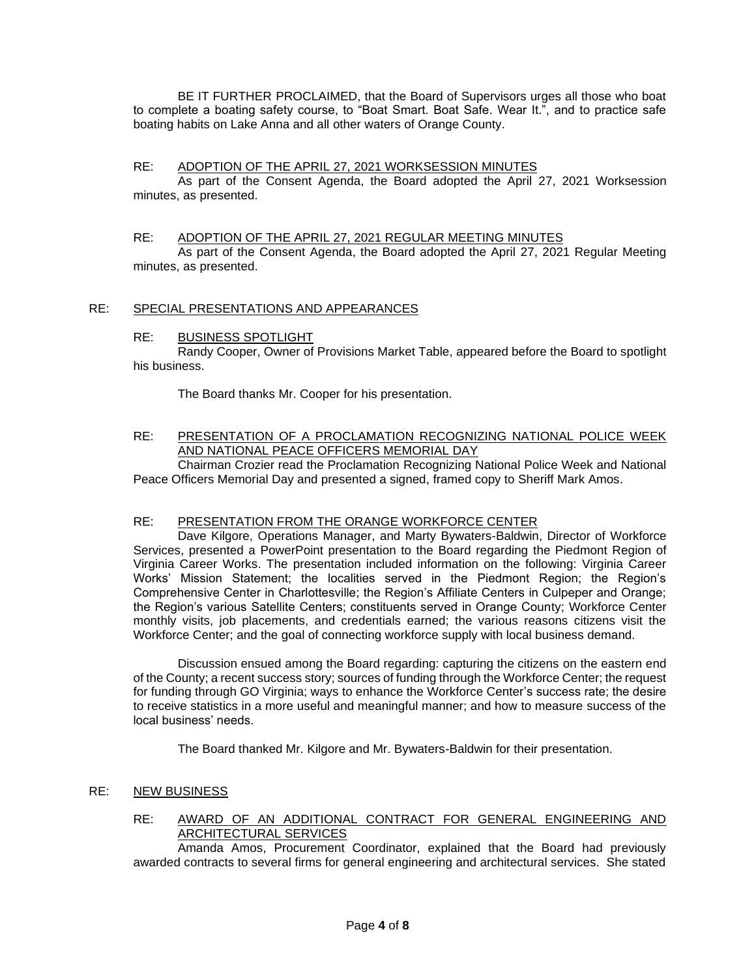BE IT FURTHER PROCLAIMED, that the Board of Supervisors urges all those who boat to complete a boating safety course, to "Boat Smart. Boat Safe. Wear It.", and to practice safe boating habits on Lake Anna and all other waters of Orange County.

# RE: ADOPTION OF THE APRIL 27, 2021 WORKSESSION MINUTES

As part of the Consent Agenda, the Board adopted the April 27, 2021 Worksession minutes, as presented.

### RE: ADOPTION OF THE APRIL 27, 2021 REGULAR MEETING MINUTES

As part of the Consent Agenda, the Board adopted the April 27, 2021 Regular Meeting minutes, as presented.

## RE: SPECIAL PRESENTATIONS AND APPEARANCES

#### RE: BUSINESS SPOTLIGHT

Randy Cooper, Owner of Provisions Market Table, appeared before the Board to spotlight his business.

The Board thanks Mr. Cooper for his presentation.

### RE: PRESENTATION OF A PROCLAMATION RECOGNIZING NATIONAL POLICE WEEK AND NATIONAL PEACE OFFICERS MEMORIAL DAY

Chairman Crozier read the Proclamation Recognizing National Police Week and National Peace Officers Memorial Day and presented a signed, framed copy to Sheriff Mark Amos.

# RE: PRESENTATION FROM THE ORANGE WORKFORCE CENTER

Dave Kilgore, Operations Manager, and Marty Bywaters-Baldwin, Director of Workforce Services, presented a PowerPoint presentation to the Board regarding the Piedmont Region of Virginia Career Works. The presentation included information on the following: Virginia Career Works' Mission Statement; the localities served in the Piedmont Region; the Region's Comprehensive Center in Charlottesville; the Region's Affiliate Centers in Culpeper and Orange; the Region's various Satellite Centers; constituents served in Orange County; Workforce Center monthly visits, job placements, and credentials earned; the various reasons citizens visit the Workforce Center; and the goal of connecting workforce supply with local business demand.

Discussion ensued among the Board regarding: capturing the citizens on the eastern end of the County; a recent success story; sources of funding through the Workforce Center; the request for funding through GO Virginia; ways to enhance the Workforce Center's success rate; the desire to receive statistics in a more useful and meaningful manner; and how to measure success of the local business' needs.

The Board thanked Mr. Kilgore and Mr. Bywaters-Baldwin for their presentation.

#### RE: NEW BUSINESS

RE: AWARD OF AN ADDITIONAL CONTRACT FOR GENERAL ENGINEERING AND ARCHITECTURAL SERVICES

Amanda Amos, Procurement Coordinator, explained that the Board had previously awarded contracts to several firms for general engineering and architectural services. She stated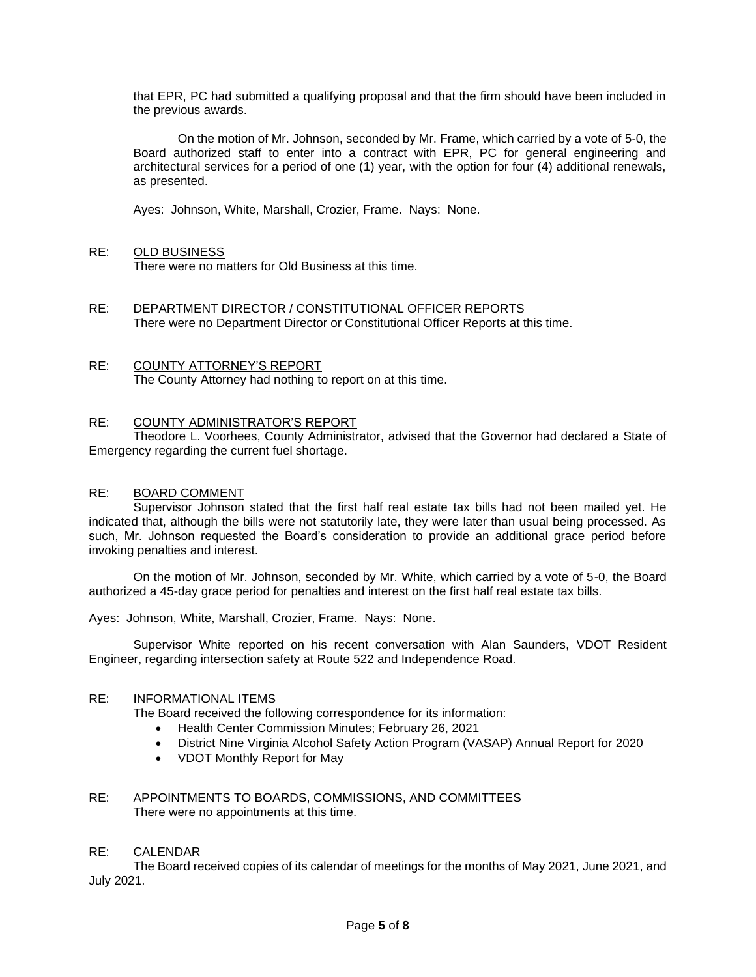that EPR, PC had submitted a qualifying proposal and that the firm should have been included in the previous awards.

On the motion of Mr. Johnson, seconded by Mr. Frame, which carried by a vote of 5-0, the Board authorized staff to enter into a contract with EPR, PC for general engineering and architectural services for a period of one (1) year, with the option for four (4) additional renewals, as presented.

Ayes: Johnson, White, Marshall, Crozier, Frame. Nays: None.

# RE: OLD BUSINESS

There were no matters for Old Business at this time.

RE: DEPARTMENT DIRECTOR / CONSTITUTIONAL OFFICER REPORTS There were no Department Director or Constitutional Officer Reports at this time.

### RE: COUNTY ATTORNEY'S REPORT The County Attorney had nothing to report on at this time.

# RE: COUNTY ADMINISTRATOR'S REPORT

Theodore L. Voorhees, County Administrator, advised that the Governor had declared a State of Emergency regarding the current fuel shortage.

# RE: BOARD COMMENT

Supervisor Johnson stated that the first half real estate tax bills had not been mailed yet. He indicated that, although the bills were not statutorily late, they were later than usual being processed. As such, Mr. Johnson requested the Board's consideration to provide an additional grace period before invoking penalties and interest.

On the motion of Mr. Johnson, seconded by Mr. White, which carried by a vote of 5-0, the Board authorized a 45-day grace period for penalties and interest on the first half real estate tax bills.

Ayes: Johnson, White, Marshall, Crozier, Frame. Nays: None.

Supervisor White reported on his recent conversation with Alan Saunders, VDOT Resident Engineer, regarding intersection safety at Route 522 and Independence Road.

# RE: INFORMATIONAL ITEMS

The Board received the following correspondence for its information:

- Health Center Commission Minutes; February 26, 2021
- District Nine Virginia Alcohol Safety Action Program (VASAP) Annual Report for 2020
- VDOT Monthly Report for May

# RE: APPOINTMENTS TO BOARDS, COMMISSIONS, AND COMMITTEES There were no appointments at this time.

# RE: CALENDAR

The Board received copies of its calendar of meetings for the months of May 2021, June 2021, and July 2021.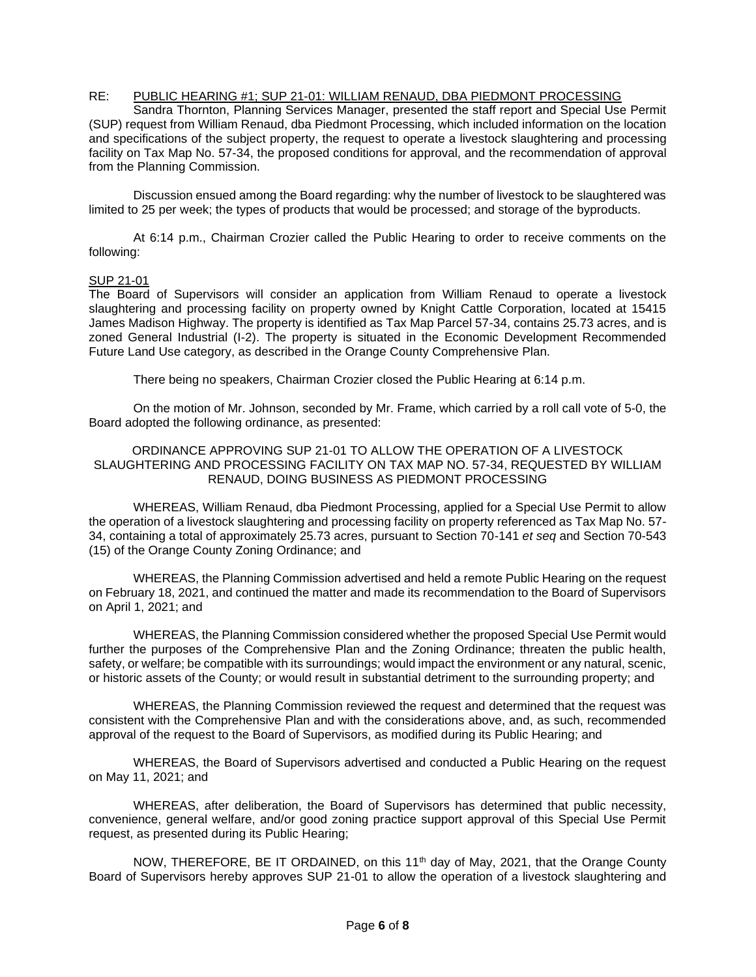# RE: PUBLIC HEARING #1; SUP 21-01: WILLIAM RENAUD, DBA PIEDMONT PROCESSING

Sandra Thornton, Planning Services Manager, presented the staff report and Special Use Permit (SUP) request from William Renaud, dba Piedmont Processing, which included information on the location and specifications of the subject property, the request to operate a livestock slaughtering and processing facility on Tax Map No. 57-34, the proposed conditions for approval, and the recommendation of approval from the Planning Commission.

Discussion ensued among the Board regarding: why the number of livestock to be slaughtered was limited to 25 per week; the types of products that would be processed; and storage of the byproducts.

At 6:14 p.m., Chairman Crozier called the Public Hearing to order to receive comments on the following:

# SUP 21-01

The Board of Supervisors will consider an application from William Renaud to operate a livestock slaughtering and processing facility on property owned by Knight Cattle Corporation, located at 15415 James Madison Highway. The property is identified as Tax Map Parcel 57-34, contains 25.73 acres, and is zoned General Industrial (I-2). The property is situated in the Economic Development Recommended Future Land Use category, as described in the Orange County Comprehensive Plan.

There being no speakers, Chairman Crozier closed the Public Hearing at 6:14 p.m.

On the motion of Mr. Johnson, seconded by Mr. Frame, which carried by a roll call vote of 5-0, the Board adopted the following ordinance, as presented:

### ORDINANCE APPROVING SUP 21-01 TO ALLOW THE OPERATION OF A LIVESTOCK SLAUGHTERING AND PROCESSING FACILITY ON TAX MAP NO. 57-34, REQUESTED BY WILLIAM RENAUD, DOING BUSINESS AS PIEDMONT PROCESSING

WHEREAS, William Renaud, dba Piedmont Processing, applied for a Special Use Permit to allow the operation of a livestock slaughtering and processing facility on property referenced as Tax Map No. 57- 34, containing a total of approximately 25.73 acres, pursuant to Section 70-141 *et seq* and Section 70-543 (15) of the Orange County Zoning Ordinance; and

WHEREAS, the Planning Commission advertised and held a remote Public Hearing on the request on February 18, 2021, and continued the matter and made its recommendation to the Board of Supervisors on April 1, 2021; and

WHEREAS, the Planning Commission considered whether the proposed Special Use Permit would further the purposes of the Comprehensive Plan and the Zoning Ordinance; threaten the public health, safety, or welfare; be compatible with its surroundings; would impact the environment or any natural, scenic, or historic assets of the County; or would result in substantial detriment to the surrounding property; and

WHEREAS, the Planning Commission reviewed the request and determined that the request was consistent with the Comprehensive Plan and with the considerations above, and, as such, recommended approval of the request to the Board of Supervisors, as modified during its Public Hearing; and

WHEREAS, the Board of Supervisors advertised and conducted a Public Hearing on the request on May 11, 2021; and

WHEREAS, after deliberation, the Board of Supervisors has determined that public necessity, convenience, general welfare, and/or good zoning practice support approval of this Special Use Permit request, as presented during its Public Hearing;

NOW, THEREFORE, BE IT ORDAINED, on this 11<sup>th</sup> day of May, 2021, that the Orange County Board of Supervisors hereby approves SUP 21-01 to allow the operation of a livestock slaughtering and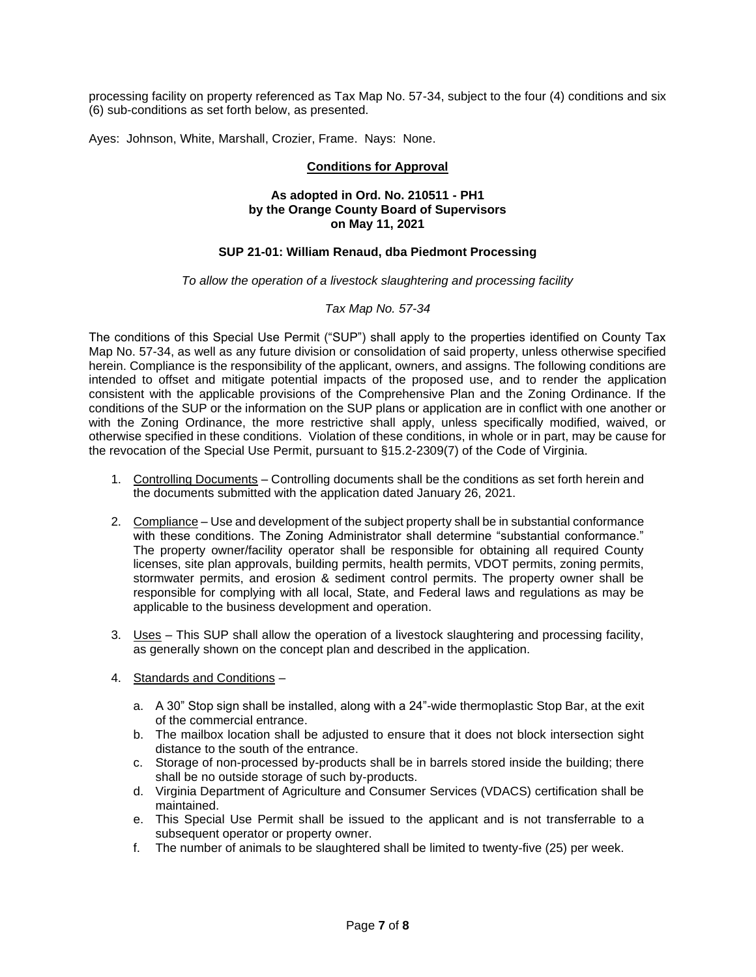processing facility on property referenced as Tax Map No. 57-34, subject to the four (4) conditions and six (6) sub-conditions as set forth below, as presented.

Ayes: Johnson, White, Marshall, Crozier, Frame. Nays: None.

# **Conditions for Approval**

### **As adopted in Ord. No. 210511 - PH1 by the Orange County Board of Supervisors on May 11, 2021**

# **SUP 21-01: William Renaud, dba Piedmont Processing**

#### *To allow the operation of a livestock slaughtering and processing facility*

# *Tax Map No. 57-34*

The conditions of this Special Use Permit ("SUP") shall apply to the properties identified on County Tax Map No. 57-34, as well as any future division or consolidation of said property, unless otherwise specified herein. Compliance is the responsibility of the applicant, owners, and assigns. The following conditions are intended to offset and mitigate potential impacts of the proposed use, and to render the application consistent with the applicable provisions of the Comprehensive Plan and the Zoning Ordinance. If the conditions of the SUP or the information on the SUP plans or application are in conflict with one another or with the Zoning Ordinance, the more restrictive shall apply, unless specifically modified, waived, or otherwise specified in these conditions. Violation of these conditions, in whole or in part, may be cause for the revocation of the Special Use Permit, pursuant to §15.2-2309(7) of the Code of Virginia.

- 1. Controlling Documents Controlling documents shall be the conditions as set forth herein and the documents submitted with the application dated January 26, 2021.
- 2. Compliance Use and development of the subject property shall be in substantial conformance with these conditions. The Zoning Administrator shall determine "substantial conformance." The property owner/facility operator shall be responsible for obtaining all required County licenses, site plan approvals, building permits, health permits, VDOT permits, zoning permits, stormwater permits, and erosion & sediment control permits. The property owner shall be responsible for complying with all local, State, and Federal laws and regulations as may be applicable to the business development and operation.
- 3. Uses This SUP shall allow the operation of a livestock slaughtering and processing facility, as generally shown on the concept plan and described in the application.
- 4. Standards and Conditions
	- a. A 30" Stop sign shall be installed, along with a 24"-wide thermoplastic Stop Bar, at the exit of the commercial entrance.
	- b. The mailbox location shall be adjusted to ensure that it does not block intersection sight distance to the south of the entrance.
	- c. Storage of non-processed by-products shall be in barrels stored inside the building; there shall be no outside storage of such by-products.
	- d. Virginia Department of Agriculture and Consumer Services (VDACS) certification shall be maintained.
	- e. This Special Use Permit shall be issued to the applicant and is not transferrable to a subsequent operator or property owner.
	- f. The number of animals to be slaughtered shall be limited to twenty-five (25) per week.